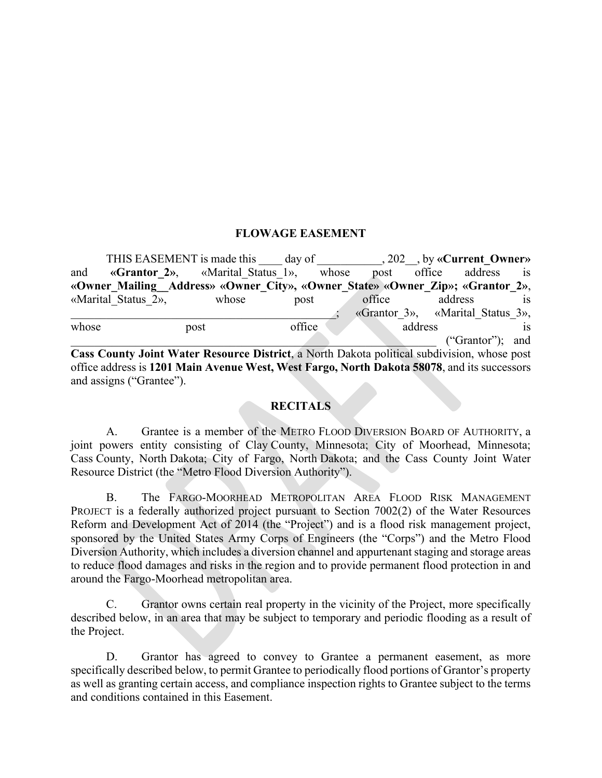### **FLOWAGE EASEMENT**

THIS EASEMENT is made this day of  $\qquad \qquad$ , 202 , by «Current Owner» and **«Grantor 2»**, «Marital Status 1», whose post office address is **«Owner\_Mailing\_\_Address» «Owner\_City», «Owner\_State» «Owner\_Zip»; «Grantor\_2»**, «Marital Status 2», whose post office address is \_\_\_\_\_\_\_\_\_\_\_\_\_\_\_\_\_\_\_\_\_\_\_\_\_\_\_\_\_\_\_\_\_\_\_\_\_\_\_\_\_\_\_\_\_; «Grantor\_3», «Marital\_Status\_3», whose post post office address is  $(''Grantor'); and$ **Cass County Joint Water Resource District**, a North Dakota political subdivision, whose post office address is **1201 Main Avenue West, West Fargo, North Dakota 58078**, and its successors and assigns ("Grantee").

### **RECITALS**

A. Grantee is a member of the METRO FLOOD DIVERSION BOARD OF AUTHORITY, a joint powers entity consisting of Clay County, Minnesota; City of Moorhead, Minnesota; Cass County, North Dakota; City of Fargo, North Dakota; and the Cass County Joint Water Resource District (the "Metro Flood Diversion Authority").

B. The FARGO-MOORHEAD METROPOLITAN AREA FLOOD RISK MANAGEMENT PROJECT is a federally authorized project pursuant to Section 7002(2) of the Water Resources Reform and Development Act of 2014 (the "Project") and is a flood risk management project, sponsored by the United States Army Corps of Engineers (the "Corps") and the Metro Flood Diversion Authority, which includes a diversion channel and appurtenant staging and storage areas to reduce flood damages and risks in the region and to provide permanent flood protection in and around the Fargo-Moorhead metropolitan area.

C. Grantor owns certain real property in the vicinity of the Project, more specifically described below, in an area that may be subject to temporary and periodic flooding as a result of the Project.

D. Grantor has agreed to convey to Grantee a permanent easement, as more specifically described below, to permit Grantee to periodically flood portions of Grantor's property as well as granting certain access, and compliance inspection rights to Grantee subject to the terms and conditions contained in this Easement.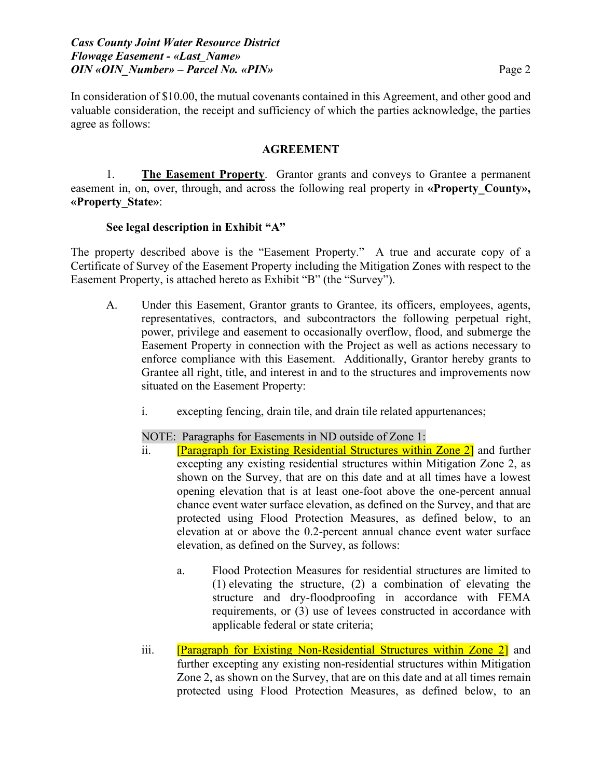In consideration of \$10.00, the mutual covenants contained in this Agreement, and other good and valuable consideration, the receipt and sufficiency of which the parties acknowledge, the parties agree as follows:

### **AGREEMENT**

1. **The Easement Property**. Grantor grants and conveys to Grantee a permanent easement in, on, over, through, and across the following real property in **«Property County», «Property\_State»**:

## **See legal description in Exhibit "A"**

The property described above is the "Easement Property." A true and accurate copy of a Certificate of Survey of the Easement Property including the Mitigation Zones with respect to the Easement Property, is attached hereto as Exhibit "B" (the "Survey").

- A. Under this Easement, Grantor grants to Grantee, its officers, employees, agents, representatives, contractors, and subcontractors the following perpetual right, power, privilege and easement to occasionally overflow, flood, and submerge the Easement Property in connection with the Project as well as actions necessary to enforce compliance with this Easement. Additionally, Grantor hereby grants to Grantee all right, title, and interest in and to the structures and improvements now situated on the Easement Property:
	- i. excepting fencing, drain tile, and drain tile related appurtenances;

NOTE: Paragraphs for Easements in ND outside of Zone 1:

- ii. [Paragraph for Existing Residential Structures within Zone 2] and further excepting any existing residential structures within Mitigation Zone 2, as shown on the Survey, that are on this date and at all times have a lowest opening elevation that is at least one-foot above the one-percent annual chance event water surface elevation, as defined on the Survey, and that are protected using Flood Protection Measures, as defined below, to an elevation at or above the 0.2-percent annual chance event water surface elevation, as defined on the Survey, as follows:
	- a. Flood Protection Measures for residential structures are limited to (1) elevating the structure, (2) a combination of elevating the structure and dry-floodproofing in accordance with FEMA requirements, or (3) use of levees constructed in accordance with applicable federal or state criteria;
- iii. [Paragraph for Existing Non-Residential Structures within Zone 2] and further excepting any existing non-residential structures within Mitigation Zone 2, as shown on the Survey, that are on this date and at all times remain protected using Flood Protection Measures, as defined below, to an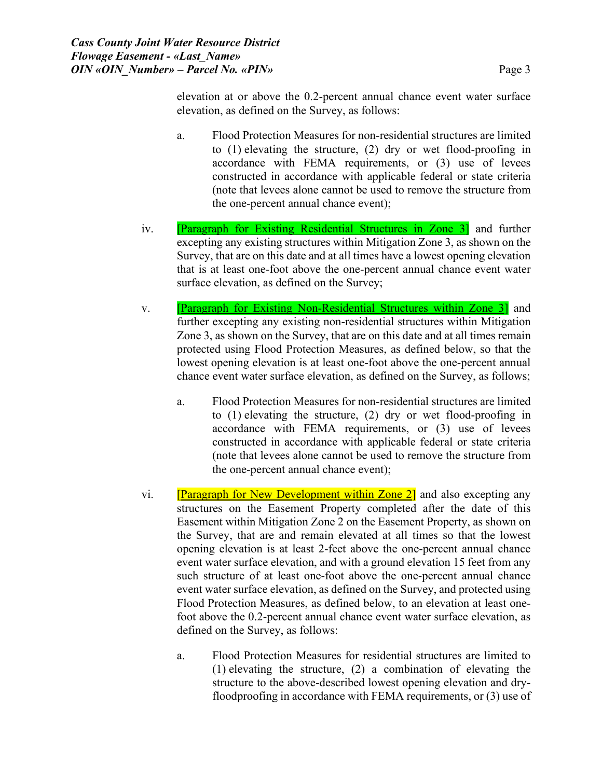elevation at or above the 0.2-percent annual chance event water surface elevation, as defined on the Survey, as follows:

- a. Flood Protection Measures for non-residential structures are limited to (1) elevating the structure, (2) dry or wet flood-proofing in accordance with FEMA requirements, or (3) use of levees constructed in accordance with applicable federal or state criteria (note that levees alone cannot be used to remove the structure from the one-percent annual chance event);
- iv. **[Paragraph for Existing Residential Structures in Zone 3]** and further excepting any existing structures within Mitigation Zone 3, as shown on the Survey, that are on this date and at all times have a lowest opening elevation that is at least one-foot above the one-percent annual chance event water surface elevation, as defined on the Survey;
- v. [Paragraph for Existing Non-Residential Structures within Zone 3] and further excepting any existing non-residential structures within Mitigation Zone 3, as shown on the Survey, that are on this date and at all times remain protected using Flood Protection Measures, as defined below, so that the lowest opening elevation is at least one-foot above the one-percent annual chance event water surface elevation, as defined on the Survey, as follows;
	- a. Flood Protection Measures for non-residential structures are limited to (1) elevating the structure, (2) dry or wet flood-proofing in accordance with FEMA requirements, or (3) use of levees constructed in accordance with applicable federal or state criteria (note that levees alone cannot be used to remove the structure from the one-percent annual chance event);
- vi. **[Paragraph for New Development within Zone 2]** and also excepting any structures on the Easement Property completed after the date of this Easement within Mitigation Zone 2 on the Easement Property, as shown on the Survey, that are and remain elevated at all times so that the lowest opening elevation is at least 2-feet above the one-percent annual chance event water surface elevation, and with a ground elevation 15 feet from any such structure of at least one-foot above the one-percent annual chance event water surface elevation, as defined on the Survey, and protected using Flood Protection Measures, as defined below, to an elevation at least onefoot above the 0.2-percent annual chance event water surface elevation, as defined on the Survey, as follows:
	- a. Flood Protection Measures for residential structures are limited to (1) elevating the structure, (2) a combination of elevating the structure to the above-described lowest opening elevation and dryfloodproofing in accordance with FEMA requirements, or (3) use of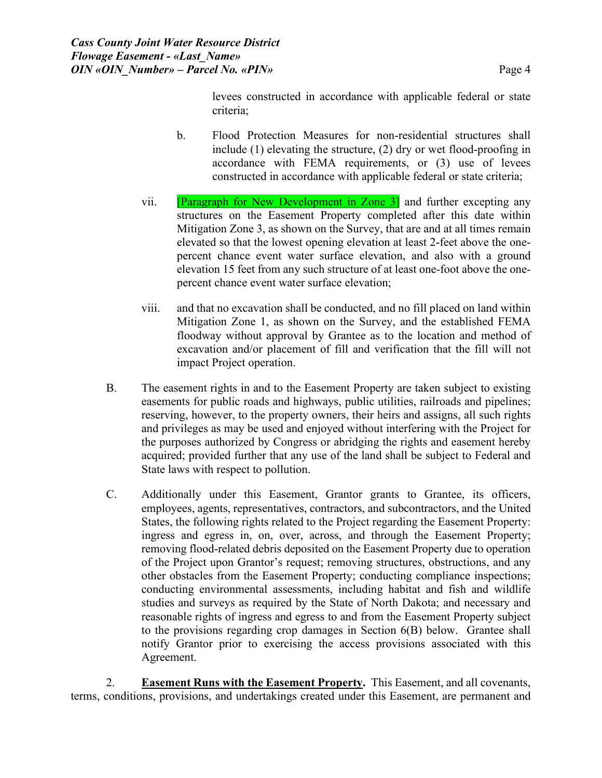levees constructed in accordance with applicable federal or state criteria;

- b. Flood Protection Measures for non-residential structures shall include (1) elevating the structure, (2) dry or wet flood-proofing in accordance with FEMA requirements, or (3) use of levees constructed in accordance with applicable federal or state criteria;
- vii. **Paragraph for New Development in Zone 3** and further excepting any structures on the Easement Property completed after this date within Mitigation Zone 3, as shown on the Survey, that are and at all times remain elevated so that the lowest opening elevation at least 2-feet above the onepercent chance event water surface elevation, and also with a ground elevation 15 feet from any such structure of at least one-foot above the onepercent chance event water surface elevation;
- viii. and that no excavation shall be conducted, and no fill placed on land within Mitigation Zone 1, as shown on the Survey, and the established FEMA floodway without approval by Grantee as to the location and method of excavation and/or placement of fill and verification that the fill will not impact Project operation.
- B. The easement rights in and to the Easement Property are taken subject to existing easements for public roads and highways, public utilities, railroads and pipelines; reserving, however, to the property owners, their heirs and assigns, all such rights and privileges as may be used and enjoyed without interfering with the Project for the purposes authorized by Congress or abridging the rights and easement hereby acquired; provided further that any use of the land shall be subject to Federal and State laws with respect to pollution.
- C. Additionally under this Easement, Grantor grants to Grantee, its officers, employees, agents, representatives, contractors, and subcontractors, and the United States, the following rights related to the Project regarding the Easement Property: ingress and egress in, on, over, across, and through the Easement Property; removing flood-related debris deposited on the Easement Property due to operation of the Project upon Grantor's request; removing structures, obstructions, and any other obstacles from the Easement Property; conducting compliance inspections; conducting environmental assessments, including habitat and fish and wildlife studies and surveys as required by the State of North Dakota; and necessary and reasonable rights of ingress and egress to and from the Easement Property subject to the provisions regarding crop damages in Section 6(B) below. Grantee shall notify Grantor prior to exercising the access provisions associated with this Agreement.

2. **Easement Runs with the Easement Property.** This Easement, and all covenants, terms, conditions, provisions, and undertakings created under this Easement, are permanent and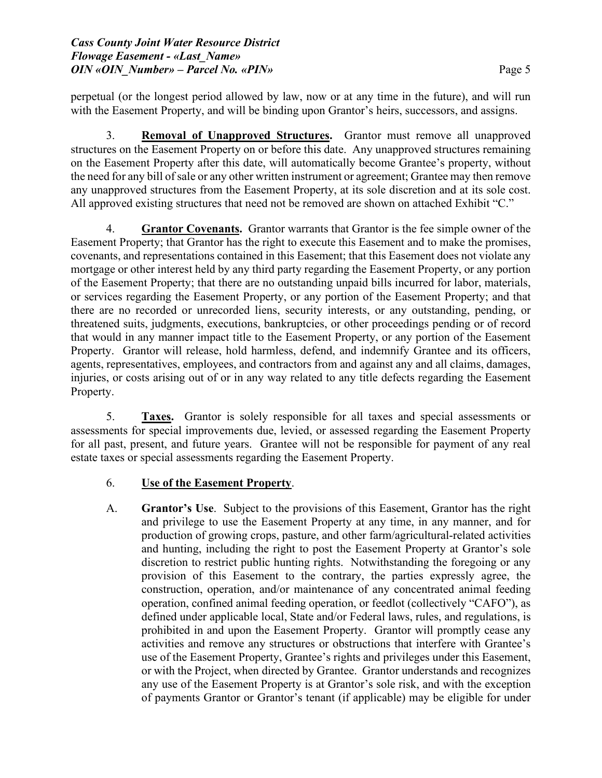perpetual (or the longest period allowed by law, now or at any time in the future), and will run with the Easement Property, and will be binding upon Grantor's heirs, successors, and assigns.

3. **Removal of Unapproved Structures.** Grantor must remove all unapproved structures on the Easement Property on or before this date. Any unapproved structures remaining on the Easement Property after this date, will automatically become Grantee's property, without the need for any bill of sale or any other written instrument or agreement; Grantee may then remove any unapproved structures from the Easement Property, at its sole discretion and at its sole cost. All approved existing structures that need not be removed are shown on attached Exhibit "C."

4. **Grantor Covenants.** Grantor warrants that Grantor is the fee simple owner of the Easement Property; that Grantor has the right to execute this Easement and to make the promises, covenants, and representations contained in this Easement; that this Easement does not violate any mortgage or other interest held by any third party regarding the Easement Property, or any portion of the Easement Property; that there are no outstanding unpaid bills incurred for labor, materials, or services regarding the Easement Property, or any portion of the Easement Property; and that there are no recorded or unrecorded liens, security interests, or any outstanding, pending, or threatened suits, judgments, executions, bankruptcies, or other proceedings pending or of record that would in any manner impact title to the Easement Property, or any portion of the Easement Property. Grantor will release, hold harmless, defend, and indemnify Grantee and its officers, agents, representatives, employees, and contractors from and against any and all claims, damages, injuries, or costs arising out of or in any way related to any title defects regarding the Easement Property.

5. **Taxes.** Grantor is solely responsible for all taxes and special assessments or assessments for special improvements due, levied, or assessed regarding the Easement Property for all past, present, and future years. Grantee will not be responsible for payment of any real estate taxes or special assessments regarding the Easement Property.

# 6. **Use of the Easement Property**.

A. **Grantor's Use**. Subject to the provisions of this Easement, Grantor has the right and privilege to use the Easement Property at any time, in any manner, and for production of growing crops, pasture, and other farm/agricultural-related activities and hunting, including the right to post the Easement Property at Grantor's sole discretion to restrict public hunting rights. Notwithstanding the foregoing or any provision of this Easement to the contrary, the parties expressly agree, the construction, operation, and/or maintenance of any concentrated animal feeding operation, confined animal feeding operation, or feedlot (collectively "CAFO"), as defined under applicable local, State and/or Federal laws, rules, and regulations, is prohibited in and upon the Easement Property. Grantor will promptly cease any activities and remove any structures or obstructions that interfere with Grantee's use of the Easement Property, Grantee's rights and privileges under this Easement, or with the Project, when directed by Grantee. Grantor understands and recognizes any use of the Easement Property is at Grantor's sole risk, and with the exception of payments Grantor or Grantor's tenant (if applicable) may be eligible for under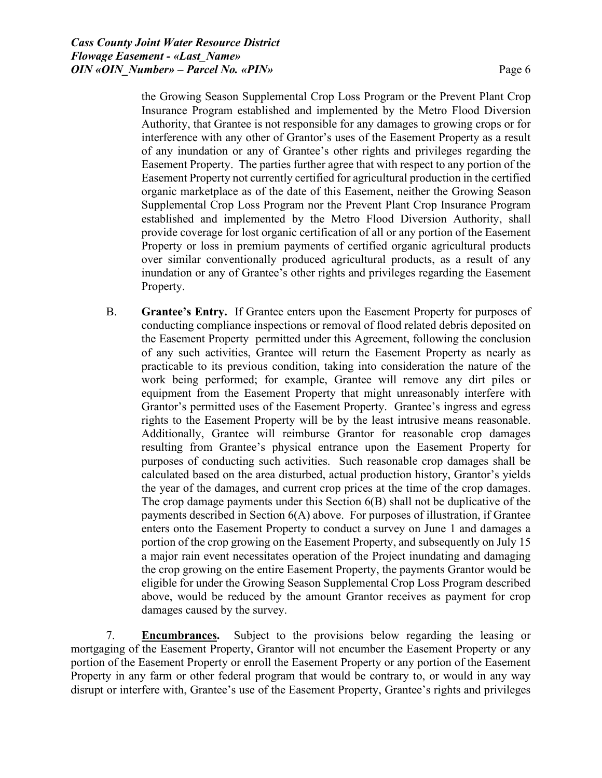the Growing Season Supplemental Crop Loss Program or the Prevent Plant Crop Insurance Program established and implemented by the Metro Flood Diversion Authority, that Grantee is not responsible for any damages to growing crops or for interference with any other of Grantor's uses of the Easement Property as a result of any inundation or any of Grantee's other rights and privileges regarding the Easement Property. The parties further agree that with respect to any portion of the Easement Property not currently certified for agricultural production in the certified organic marketplace as of the date of this Easement, neither the Growing Season Supplemental Crop Loss Program nor the Prevent Plant Crop Insurance Program established and implemented by the Metro Flood Diversion Authority, shall provide coverage for lost organic certification of all or any portion of the Easement Property or loss in premium payments of certified organic agricultural products over similar conventionally produced agricultural products, as a result of any inundation or any of Grantee's other rights and privileges regarding the Easement Property.

B. **Grantee's Entry.** If Grantee enters upon the Easement Property for purposes of conducting compliance inspections or removal of flood related debris deposited on the Easement Property permitted under this Agreement, following the conclusion of any such activities, Grantee will return the Easement Property as nearly as practicable to its previous condition, taking into consideration the nature of the work being performed; for example, Grantee will remove any dirt piles or equipment from the Easement Property that might unreasonably interfere with Grantor's permitted uses of the Easement Property. Grantee's ingress and egress rights to the Easement Property will be by the least intrusive means reasonable. Additionally, Grantee will reimburse Grantor for reasonable crop damages resulting from Grantee's physical entrance upon the Easement Property for purposes of conducting such activities. Such reasonable crop damages shall be calculated based on the area disturbed, actual production history, Grantor's yields the year of the damages, and current crop prices at the time of the crop damages. The crop damage payments under this Section 6(B) shall not be duplicative of the payments described in Section 6(A) above. For purposes of illustration, if Grantee enters onto the Easement Property to conduct a survey on June 1 and damages a portion of the crop growing on the Easement Property, and subsequently on July 15 a major rain event necessitates operation of the Project inundating and damaging the crop growing on the entire Easement Property, the payments Grantor would be eligible for under the Growing Season Supplemental Crop Loss Program described above, would be reduced by the amount Grantor receives as payment for crop damages caused by the survey.

7. **Encumbrances.** Subject to the provisions below regarding the leasing or mortgaging of the Easement Property, Grantor will not encumber the Easement Property or any portion of the Easement Property or enroll the Easement Property or any portion of the Easement Property in any farm or other federal program that would be contrary to, or would in any way disrupt or interfere with, Grantee's use of the Easement Property, Grantee's rights and privileges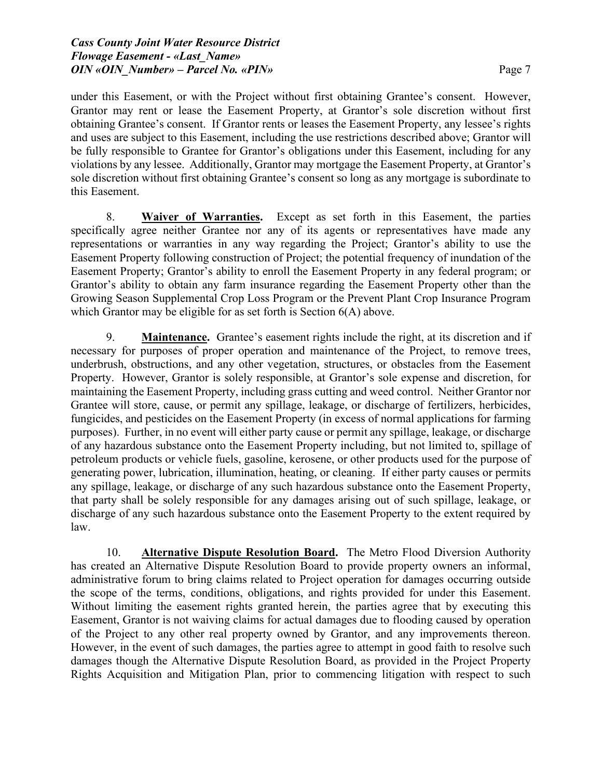under this Easement, or with the Project without first obtaining Grantee's consent. However, Grantor may rent or lease the Easement Property, at Grantor's sole discretion without first obtaining Grantee's consent. If Grantor rents or leases the Easement Property, any lessee's rights and uses are subject to this Easement, including the use restrictions described above; Grantor will be fully responsible to Grantee for Grantor's obligations under this Easement, including for any violations by any lessee. Additionally, Grantor may mortgage the Easement Property, at Grantor's sole discretion without first obtaining Grantee's consent so long as any mortgage is subordinate to this Easement.

8. **Waiver of Warranties.** Except as set forth in this Easement, the parties specifically agree neither Grantee nor any of its agents or representatives have made any representations or warranties in any way regarding the Project; Grantor's ability to use the Easement Property following construction of Project; the potential frequency of inundation of the Easement Property; Grantor's ability to enroll the Easement Property in any federal program; or Grantor's ability to obtain any farm insurance regarding the Easement Property other than the Growing Season Supplemental Crop Loss Program or the Prevent Plant Crop Insurance Program which Grantor may be eligible for as set forth is Section  $6(A)$  above.

9. **Maintenance.** Grantee's easement rights include the right, at its discretion and if necessary for purposes of proper operation and maintenance of the Project, to remove trees, underbrush, obstructions, and any other vegetation, structures, or obstacles from the Easement Property. However, Grantor is solely responsible, at Grantor's sole expense and discretion, for maintaining the Easement Property, including grass cutting and weed control. Neither Grantor nor Grantee will store, cause, or permit any spillage, leakage, or discharge of fertilizers, herbicides, fungicides, and pesticides on the Easement Property (in excess of normal applications for farming purposes). Further, in no event will either party cause or permit any spillage, leakage, or discharge of any hazardous substance onto the Easement Property including, but not limited to, spillage of petroleum products or vehicle fuels, gasoline, kerosene, or other products used for the purpose of generating power, lubrication, illumination, heating, or cleaning. If either party causes or permits any spillage, leakage, or discharge of any such hazardous substance onto the Easement Property, that party shall be solely responsible for any damages arising out of such spillage, leakage, or discharge of any such hazardous substance onto the Easement Property to the extent required by law.

10. **Alternative Dispute Resolution Board.** The Metro Flood Diversion Authority has created an Alternative Dispute Resolution Board to provide property owners an informal, administrative forum to bring claims related to Project operation for damages occurring outside the scope of the terms, conditions, obligations, and rights provided for under this Easement. Without limiting the easement rights granted herein, the parties agree that by executing this Easement, Grantor is not waiving claims for actual damages due to flooding caused by operation of the Project to any other real property owned by Grantor, and any improvements thereon. However, in the event of such damages, the parties agree to attempt in good faith to resolve such damages though the Alternative Dispute Resolution Board, as provided in the Project Property Rights Acquisition and Mitigation Plan, prior to commencing litigation with respect to such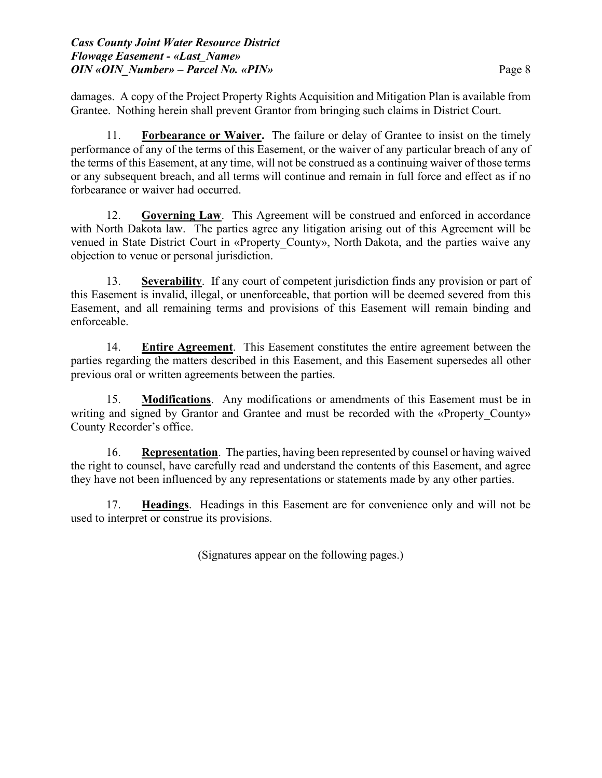damages. A copy of the Project Property Rights Acquisition and Mitigation Plan is available from Grantee. Nothing herein shall prevent Grantor from bringing such claims in District Court.

11. **Forbearance or Waiver.** The failure or delay of Grantee to insist on the timely performance of any of the terms of this Easement, or the waiver of any particular breach of any of the terms of this Easement, at any time, will not be construed as a continuing waiver of those terms or any subsequent breach, and all terms will continue and remain in full force and effect as if no forbearance or waiver had occurred.

12. **Governing Law**. This Agreement will be construed and enforced in accordance with North Dakota law. The parties agree any litigation arising out of this Agreement will be venued in State District Court in «Property\_County», North Dakota, and the parties waive any objection to venue or personal jurisdiction.

13. **Severability**. If any court of competent jurisdiction finds any provision or part of this Easement is invalid, illegal, or unenforceable, that portion will be deemed severed from this Easement, and all remaining terms and provisions of this Easement will remain binding and enforceable.

14. **Entire Agreement**. This Easement constitutes the entire agreement between the parties regarding the matters described in this Easement, and this Easement supersedes all other previous oral or written agreements between the parties.

15. **Modifications**. Any modifications or amendments of this Easement must be in writing and signed by Grantor and Grantee and must be recorded with the «Property County» County Recorder's office.

16. **Representation**. The parties, having been represented by counsel or having waived the right to counsel, have carefully read and understand the contents of this Easement, and agree they have not been influenced by any representations or statements made by any other parties.

17. **Headings**. Headings in this Easement are for convenience only and will not be used to interpret or construe its provisions.

(Signatures appear on the following pages.)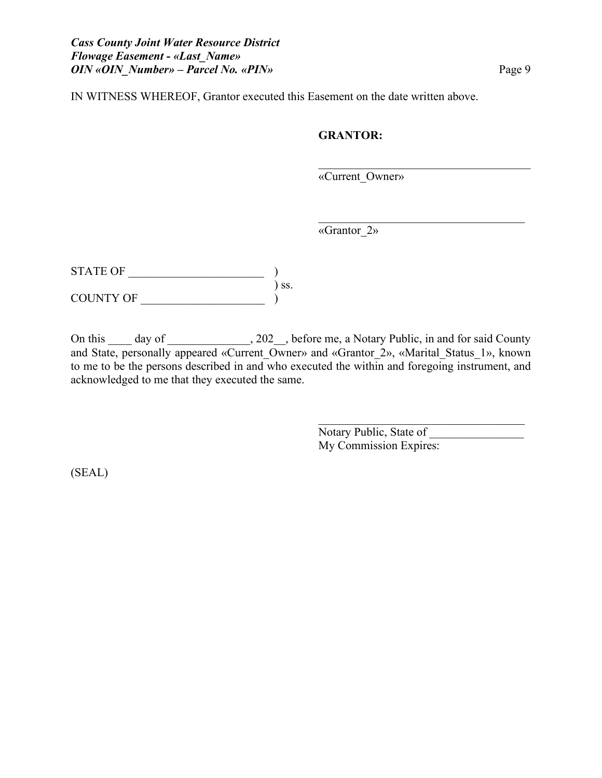IN WITNESS WHEREOF, Grantor executed this Easement on the date written above.

### **GRANTOR:**

«Current\_Owner»

 $\mathcal{L}_\mathcal{L}$ 

«Grantor\_2»

| <b>STATE OF</b> |     |
|-----------------|-----|
|                 | SS. |
| COUNTY OF       |     |

On this \_\_\_\_ day of \_\_\_\_\_\_\_\_\_\_\_\_, 202\_\_, before me, a Notary Public, in and for said County and State, personally appeared «Current Owner» and «Grantor 2», «Marital Status 1», known to me to be the persons described in and who executed the within and foregoing instrument, and acknowledged to me that they executed the same.

> Notary Public, State of \_\_\_\_\_\_\_\_\_\_\_\_\_\_\_\_ My Commission Expires:

 $\mathcal{L}_\text{max}$  and  $\mathcal{L}_\text{max}$  and  $\mathcal{L}_\text{max}$  and  $\mathcal{L}_\text{max}$ 

(SEAL)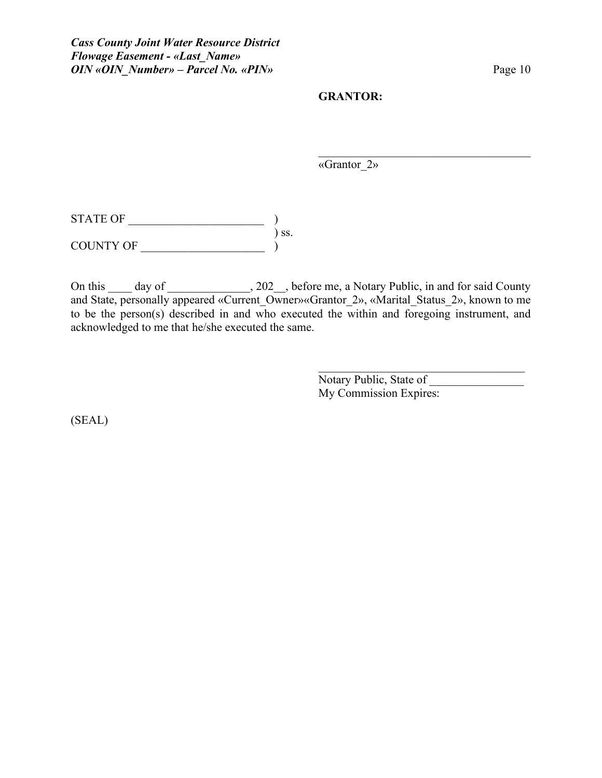#### **GRANTOR:**

«Grantor\_2»

 $\begin{CD} \begin{bmatrix} \text{STATE OF} \end{bmatrix} \end{CD}$ ) ss. COUNTY OF \_\_\_\_\_\_\_\_\_\_\_\_\_\_\_\_\_\_\_\_\_ )

On this day of 3.202, before me, a Notary Public, in and for said County and State, personally appeared «Current Owner» «Grantor 2», «Marital Status 2», known to me to be the person(s) described in and who executed the within and foregoing instrument, and acknowledged to me that he/she executed the same.

> Notary Public, State of \_\_\_\_\_\_\_\_\_\_\_\_\_\_\_\_ My Commission Expires:

 $\mathcal{L}_\mathcal{L}$  , where  $\mathcal{L}_\mathcal{L}$  , we have the set of the set of the set of the set of the set of the set of the set of the set of the set of the set of the set of the set of the set of the set of the set of the set

 $\mathcal{L}_\mathcal{L}$ 

(SEAL)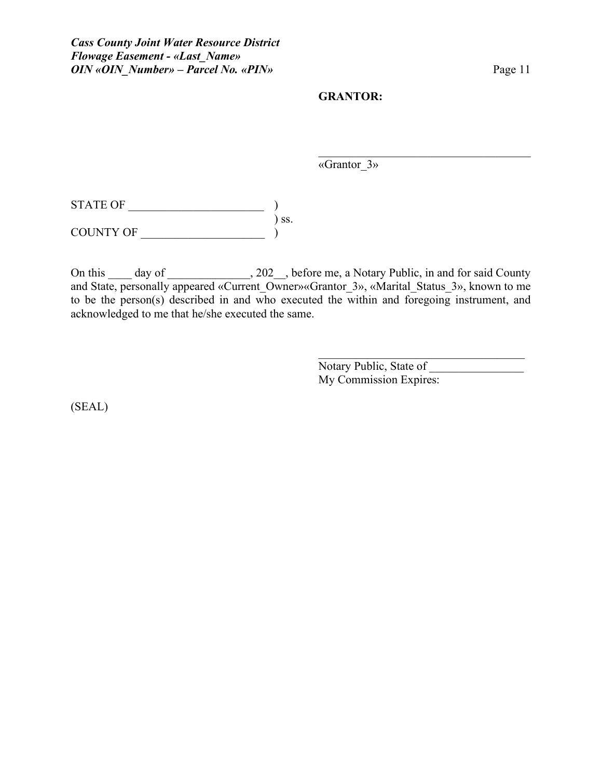#### **GRANTOR:**

«Grantor\_3»

 $\mathcal{L}_\mathcal{L}$ 

 $\begin{CD} \begin{bmatrix} \text{STATE OF} \end{bmatrix} \end{CD}$ ) ss.  $\begin{array}{cccc}\n\text{COUNTY OF} & & & & \text{)}\n\end{array}$ 

On this \_\_\_\_ day of \_\_\_\_\_\_\_\_\_\_\_\_, 202\_\_, before me, a Notary Public, in and for said County and State, personally appeared «Current\_Owner»«Grantor\_3», «Marital\_Status\_3», known to me to be the person(s) described in and who executed the within and foregoing instrument, and acknowledged to me that he/she executed the same.

> Notary Public, State of My Commission Expires:

(SEAL)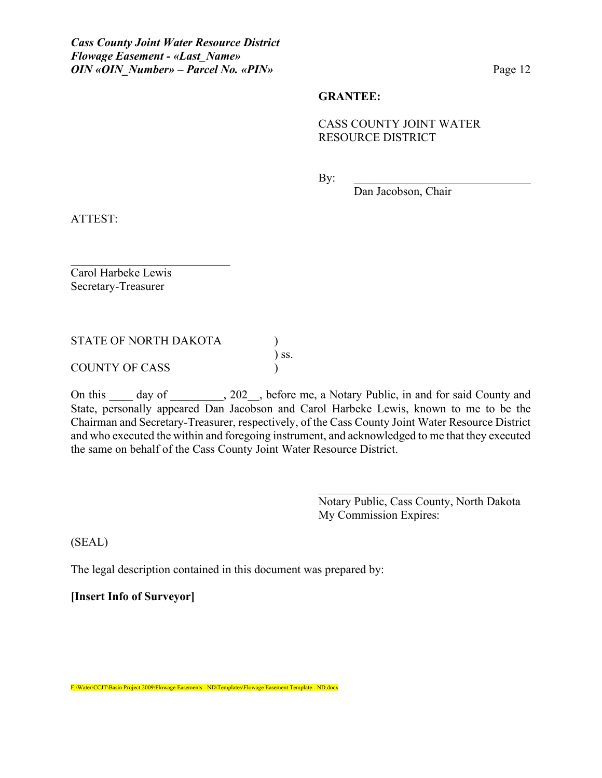#### **GRANTEE:**

## CASS COUNTY JOINT WATER RESOURCE DISTRICT

By: \_\_\_\_\_\_\_\_\_\_\_\_\_\_\_\_\_\_\_\_\_\_\_\_\_\_\_\_\_\_

Dan Jacobson, Chair

ATTEST:

Carol Harbeke Lewis Secretary-Treasurer

STATE OF NORTH DAKOTA (1)

 $\mathcal{L}_\text{max}$  , where  $\mathcal{L}_\text{max}$  and  $\mathcal{L}_\text{max}$ 

COUNTY OF CASS )

On this day of 202, before me, a Notary Public, in and for said County and State, personally appeared Dan Jacobson and Carol Harbeke Lewis, known to me to be the Chairman and Secretary-Treasurer, respectively, of the Cass County Joint Water Resource District and who executed the within and foregoing instrument, and acknowledged to me that they executed the same on behalf of the Cass County Joint Water Resource District.

) ss.

Notary Public, Cass County, North Dakota My Commission Expires:

(SEAL)

The legal description contained in this document was prepared by:

**[Insert Info of Surveyor]**

F:\Water\CCJT\Basin Project 2009\Flowage Easements - ND\Templates\Flowage Easement Template - ND.docx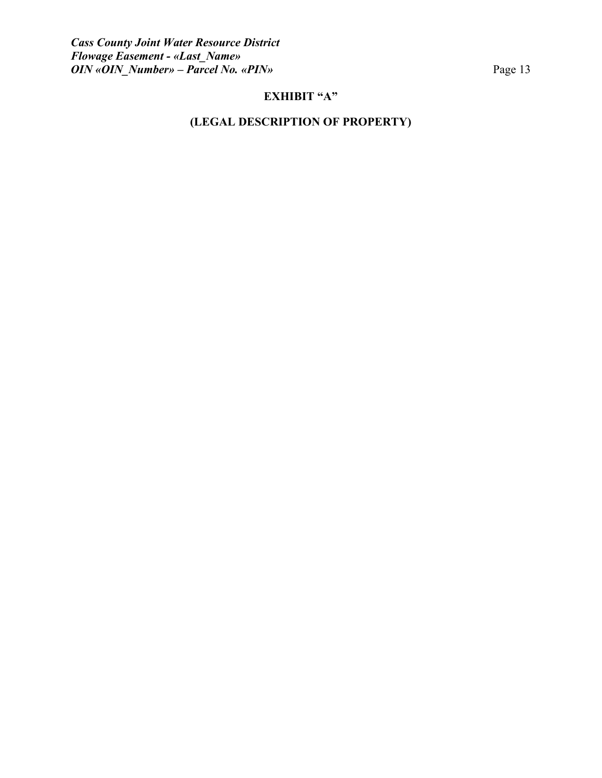# **EXHIBIT "A"**

# **(LEGAL DESCRIPTION OF PROPERTY)**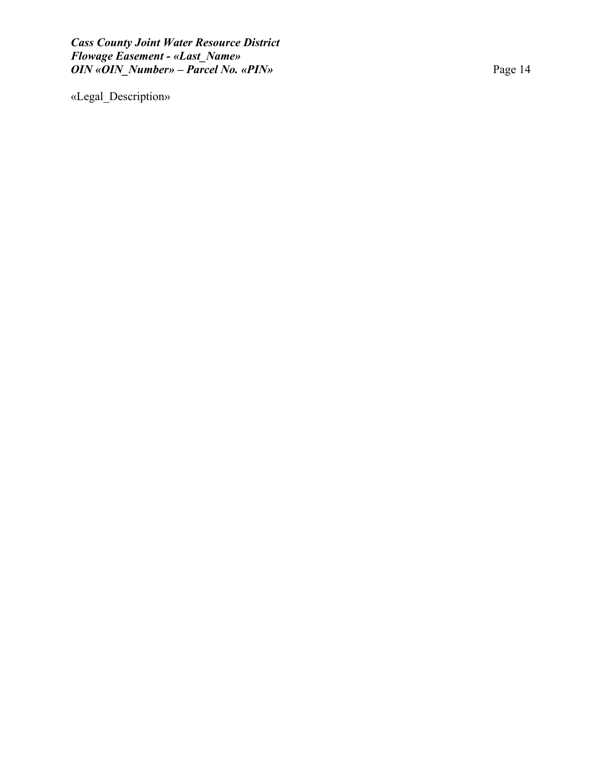«Legal\_Description »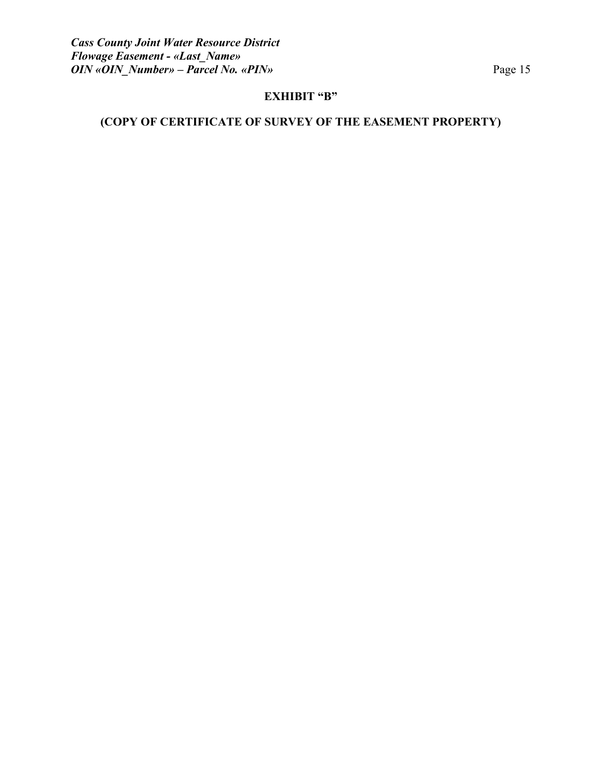# **EXHIBIT "B"**

# **(COPY OF CERTIFICATE OF SURVEY OF THE EASEMENT PROPERTY)**